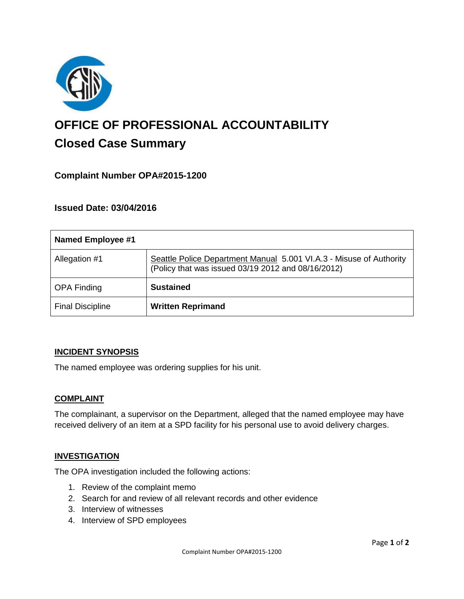

# **OFFICE OF PROFESSIONAL ACCOUNTABILITY Closed Case Summary**

# **Complaint Number OPA#2015-1200**

**Issued Date: 03/04/2016**

| <b>Named Employee #1</b> |                                                                                                                           |
|--------------------------|---------------------------------------------------------------------------------------------------------------------------|
| Allegation #1            | Seattle Police Department Manual 5.001 VI.A.3 - Misuse of Authority<br>(Policy that was issued 03/19 2012 and 08/16/2012) |
| <b>OPA Finding</b>       | <b>Sustained</b>                                                                                                          |
| <b>Final Discipline</b>  | <b>Written Reprimand</b>                                                                                                  |

# **INCIDENT SYNOPSIS**

The named employee was ordering supplies for his unit.

### **COMPLAINT**

The complainant, a supervisor on the Department, alleged that the named employee may have received delivery of an item at a SPD facility for his personal use to avoid delivery charges.

# **INVESTIGATION**

The OPA investigation included the following actions:

- 1. Review of the complaint memo
- 2. Search for and review of all relevant records and other evidence
- 3. Interview of witnesses
- 4. Interview of SPD employees